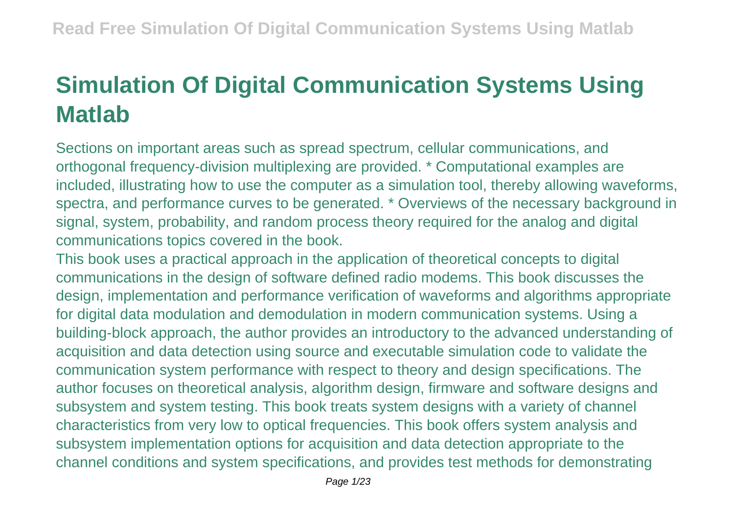## **Simulation Of Digital Communication Systems Using Matlab**

Sections on important areas such as spread spectrum, cellular communications, and orthogonal frequency-division multiplexing are provided. \* Computational examples are included, illustrating how to use the computer as a simulation tool, thereby allowing waveforms, spectra, and performance curves to be generated. \* Overviews of the necessary background in signal, system, probability, and random process theory required for the analog and digital communications topics covered in the book.

This book uses a practical approach in the application of theoretical concepts to digital communications in the design of software defined radio modems. This book discusses the design, implementation and performance verification of waveforms and algorithms appropriate for digital data modulation and demodulation in modern communication systems. Using a building-block approach, the author provides an introductory to the advanced understanding of acquisition and data detection using source and executable simulation code to validate the communication system performance with respect to theory and design specifications. The author focuses on theoretical analysis, algorithm design, firmware and software designs and subsystem and system testing. This book treats system designs with a variety of channel characteristics from very low to optical frequencies. This book offers system analysis and subsystem implementation options for acquisition and data detection appropriate to the channel conditions and system specifications, and provides test methods for demonstrating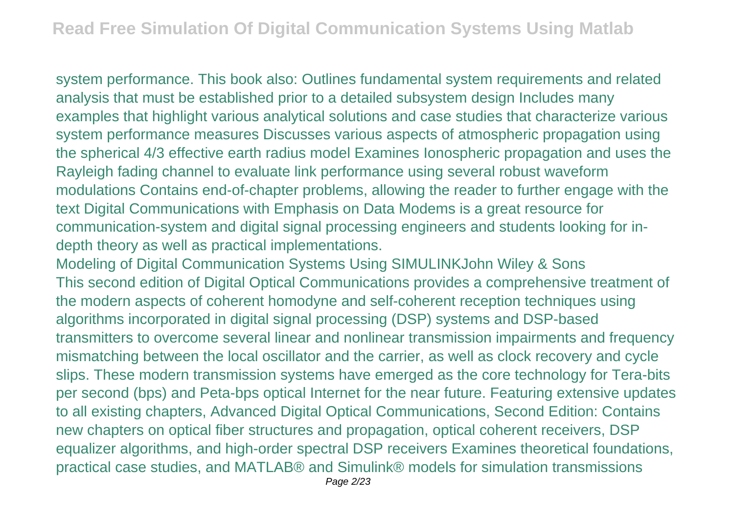system performance. This book also: Outlines fundamental system requirements and related analysis that must be established prior to a detailed subsystem design Includes many examples that highlight various analytical solutions and case studies that characterize various system performance measures Discusses various aspects of atmospheric propagation using the spherical 4/3 effective earth radius model Examines Ionospheric propagation and uses the Rayleigh fading channel to evaluate link performance using several robust waveform modulations Contains end-of-chapter problems, allowing the reader to further engage with the text Digital Communications with Emphasis on Data Modems is a great resource for communication-system and digital signal processing engineers and students looking for indepth theory as well as practical implementations.

Modeling of Digital Communication Systems Using SIMULINKJohn Wiley & Sons This second edition of Digital Optical Communications provides a comprehensive treatment of the modern aspects of coherent homodyne and self-coherent reception techniques using algorithms incorporated in digital signal processing (DSP) systems and DSP-based transmitters to overcome several linear and nonlinear transmission impairments and frequency mismatching between the local oscillator and the carrier, as well as clock recovery and cycle slips. These modern transmission systems have emerged as the core technology for Tera-bits per second (bps) and Peta-bps optical Internet for the near future. Featuring extensive updates to all existing chapters, Advanced Digital Optical Communications, Second Edition: Contains new chapters on optical fiber structures and propagation, optical coherent receivers, DSP equalizer algorithms, and high-order spectral DSP receivers Examines theoretical foundations, practical case studies, and MATLAB® and Simulink® models for simulation transmissions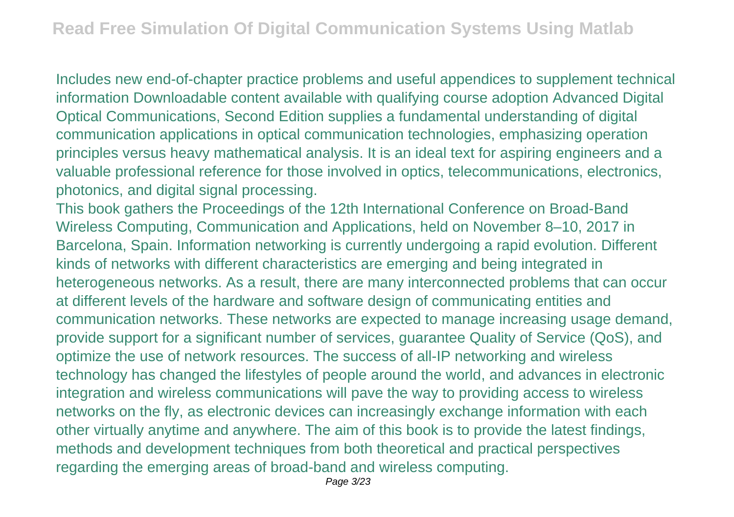Includes new end-of-chapter practice problems and useful appendices to supplement technical information Downloadable content available with qualifying course adoption Advanced Digital Optical Communications, Second Edition supplies a fundamental understanding of digital communication applications in optical communication technologies, emphasizing operation principles versus heavy mathematical analysis. It is an ideal text for aspiring engineers and a valuable professional reference for those involved in optics, telecommunications, electronics, photonics, and digital signal processing.

This book gathers the Proceedings of the 12th International Conference on Broad-Band Wireless Computing, Communication and Applications, held on November 8–10, 2017 in Barcelona, Spain. Information networking is currently undergoing a rapid evolution. Different kinds of networks with different characteristics are emerging and being integrated in heterogeneous networks. As a result, there are many interconnected problems that can occur at different levels of the hardware and software design of communicating entities and communication networks. These networks are expected to manage increasing usage demand, provide support for a significant number of services, guarantee Quality of Service (QoS), and optimize the use of network resources. The success of all-IP networking and wireless technology has changed the lifestyles of people around the world, and advances in electronic integration and wireless communications will pave the way to providing access to wireless networks on the fly, as electronic devices can increasingly exchange information with each other virtually anytime and anywhere. The aim of this book is to provide the latest findings, methods and development techniques from both theoretical and practical perspectives regarding the emerging areas of broad-band and wireless computing.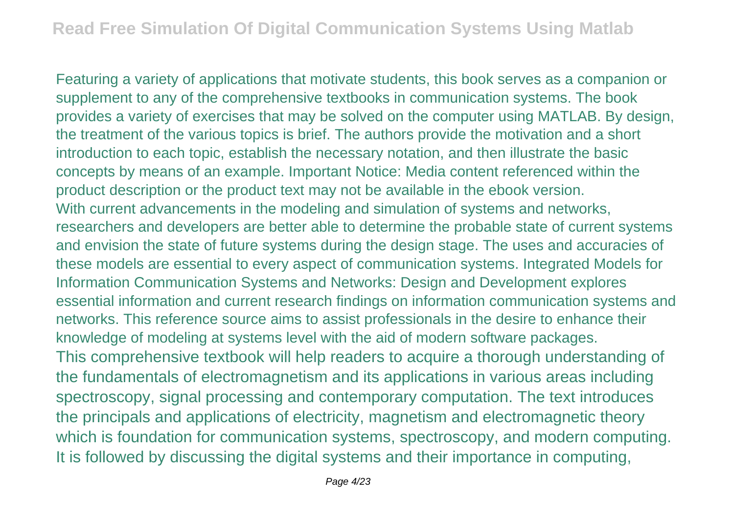Featuring a variety of applications that motivate students, this book serves as a companion or supplement to any of the comprehensive textbooks in communication systems. The book provides a variety of exercises that may be solved on the computer using MATLAB. By design, the treatment of the various topics is brief. The authors provide the motivation and a short introduction to each topic, establish the necessary notation, and then illustrate the basic concepts by means of an example. Important Notice: Media content referenced within the product description or the product text may not be available in the ebook version. With current advancements in the modeling and simulation of systems and networks, researchers and developers are better able to determine the probable state of current systems and envision the state of future systems during the design stage. The uses and accuracies of these models are essential to every aspect of communication systems. Integrated Models for Information Communication Systems and Networks: Design and Development explores essential information and current research findings on information communication systems and networks. This reference source aims to assist professionals in the desire to enhance their knowledge of modeling at systems level with the aid of modern software packages. This comprehensive textbook will help readers to acquire a thorough understanding of the fundamentals of electromagnetism and its applications in various areas including spectroscopy, signal processing and contemporary computation. The text introduces the principals and applications of electricity, magnetism and electromagnetic theory which is foundation for communication systems, spectroscopy, and modern computing. It is followed by discussing the digital systems and their importance in computing,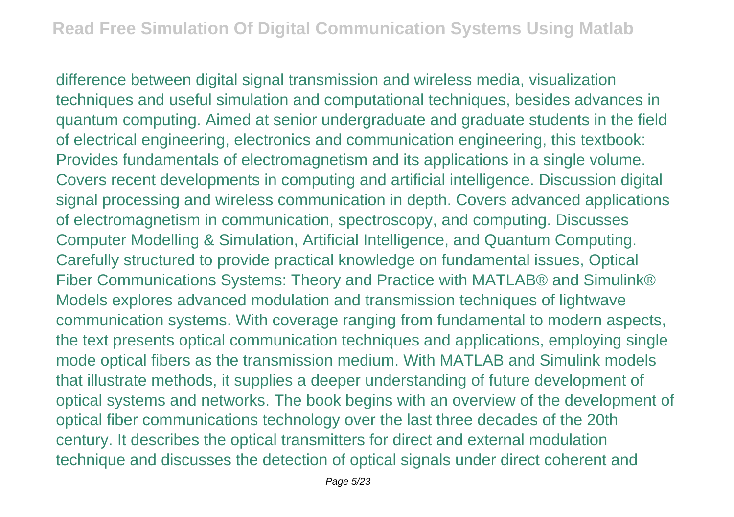difference between digital signal transmission and wireless media, visualization techniques and useful simulation and computational techniques, besides advances in quantum computing. Aimed at senior undergraduate and graduate students in the field of electrical engineering, electronics and communication engineering, this textbook: Provides fundamentals of electromagnetism and its applications in a single volume. Covers recent developments in computing and artificial intelligence. Discussion digital signal processing and wireless communication in depth. Covers advanced applications of electromagnetism in communication, spectroscopy, and computing. Discusses Computer Modelling & Simulation, Artificial Intelligence, and Quantum Computing. Carefully structured to provide practical knowledge on fundamental issues, Optical Fiber Communications Systems: Theory and Practice with MATLAB® and Simulink® Models explores advanced modulation and transmission techniques of lightwave communication systems. With coverage ranging from fundamental to modern aspects, the text presents optical communication techniques and applications, employing single mode optical fibers as the transmission medium. With MATLAB and Simulink models that illustrate methods, it supplies a deeper understanding of future development of optical systems and networks. The book begins with an overview of the development of optical fiber communications technology over the last three decades of the 20th century. It describes the optical transmitters for direct and external modulation technique and discusses the detection of optical signals under direct coherent and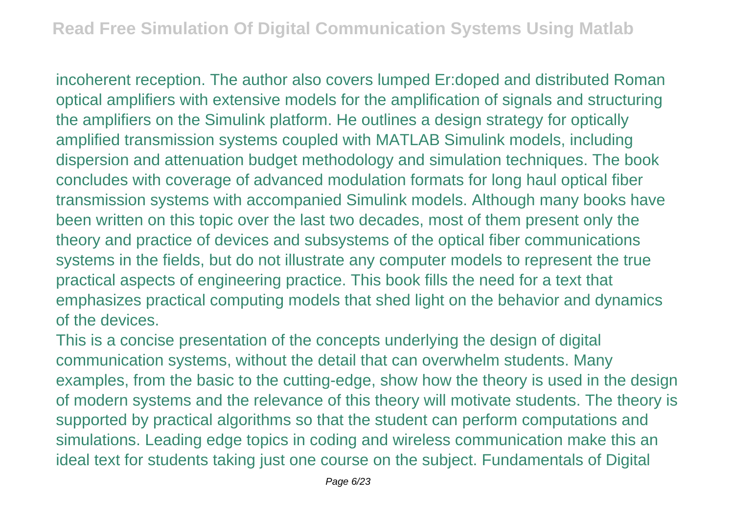incoherent reception. The author also covers lumped Er:doped and distributed Roman optical amplifiers with extensive models for the amplification of signals and structuring the amplifiers on the Simulink platform. He outlines a design strategy for optically amplified transmission systems coupled with MATLAB Simulink models, including dispersion and attenuation budget methodology and simulation techniques. The book concludes with coverage of advanced modulation formats for long haul optical fiber transmission systems with accompanied Simulink models. Although many books have been written on this topic over the last two decades, most of them present only the theory and practice of devices and subsystems of the optical fiber communications systems in the fields, but do not illustrate any computer models to represent the true practical aspects of engineering practice. This book fills the need for a text that emphasizes practical computing models that shed light on the behavior and dynamics of the devices.

This is a concise presentation of the concepts underlying the design of digital communication systems, without the detail that can overwhelm students. Many examples, from the basic to the cutting-edge, show how the theory is used in the design of modern systems and the relevance of this theory will motivate students. The theory is supported by practical algorithms so that the student can perform computations and simulations. Leading edge topics in coding and wireless communication make this an ideal text for students taking just one course on the subject. Fundamentals of Digital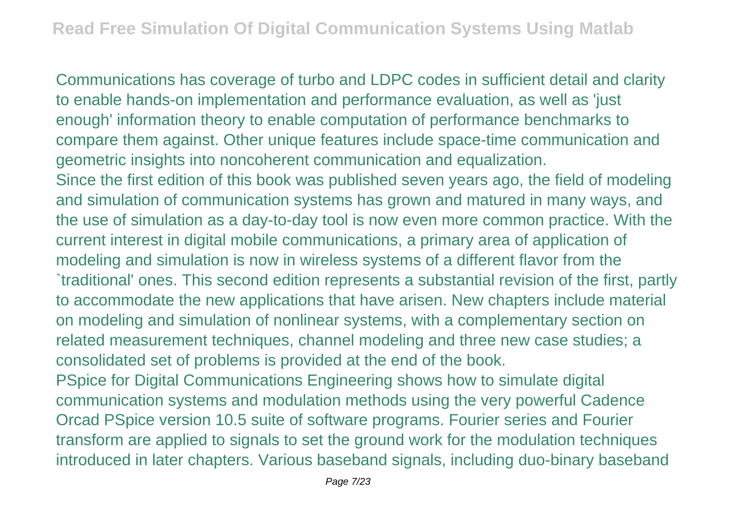Communications has coverage of turbo and LDPC codes in sufficient detail and clarity to enable hands-on implementation and performance evaluation, as well as 'just enough' information theory to enable computation of performance benchmarks to compare them against. Other unique features include space-time communication and geometric insights into noncoherent communication and equalization. Since the first edition of this book was published seven years ago, the field of modeling and simulation of communication systems has grown and matured in many ways, and the use of simulation as a day-to-day tool is now even more common practice. With the current interest in digital mobile communications, a primary area of application of modeling and simulation is now in wireless systems of a different flavor from the `traditional' ones. This second edition represents a substantial revision of the first, partly to accommodate the new applications that have arisen. New chapters include material on modeling and simulation of nonlinear systems, with a complementary section on related measurement techniques, channel modeling and three new case studies; a consolidated set of problems is provided at the end of the book. PSpice for Digital Communications Engineering shows how to simulate digital communication systems and modulation methods using the very powerful Cadence Orcad PSpice version 10.5 suite of software programs. Fourier series and Fourier transform are applied to signals to set the ground work for the modulation techniques introduced in later chapters. Various baseband signals, including duo-binary baseband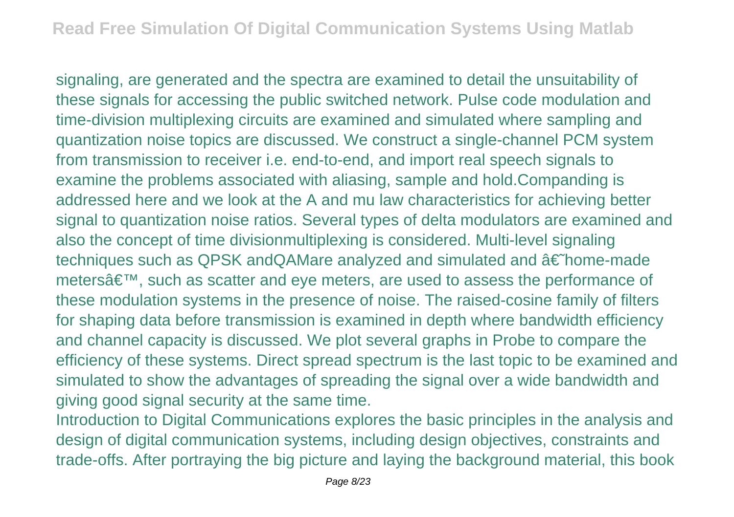signaling, are generated and the spectra are examined to detail the unsuitability of these signals for accessing the public switched network. Pulse code modulation and time-division multiplexing circuits are examined and simulated where sampling and quantization noise topics are discussed. We construct a single-channel PCM system from transmission to receiver i.e. end-to-end, and import real speech signals to examine the problems associated with aliasing, sample and hold.Companding is addressed here and we look at the A and mu law characteristics for achieving better signal to quantization noise ratios. Several types of delta modulators are examined and also the concept of time divisionmultiplexing is considered. Multi-level signaling techniques such as QPSK andQAMare analyzed and simulated and †home-made metersâ€<sup>™</sup>, such as scatter and eye meters, are used to assess the performance of these modulation systems in the presence of noise. The raised-cosine family of filters for shaping data before transmission is examined in depth where bandwidth efficiency and channel capacity is discussed. We plot several graphs in Probe to compare the efficiency of these systems. Direct spread spectrum is the last topic to be examined and simulated to show the advantages of spreading the signal over a wide bandwidth and giving good signal security at the same time.

Introduction to Digital Communications explores the basic principles in the analysis and design of digital communication systems, including design objectives, constraints and trade-offs. After portraying the big picture and laying the background material, this book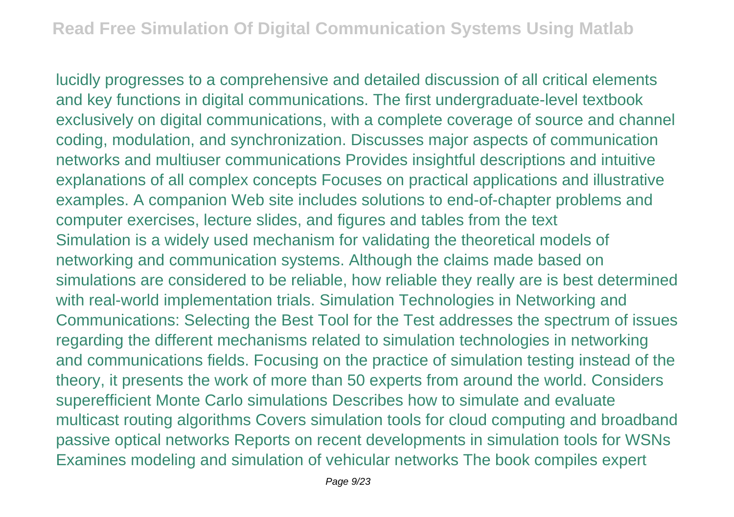lucidly progresses to a comprehensive and detailed discussion of all critical elements and key functions in digital communications. The first undergraduate-level textbook exclusively on digital communications, with a complete coverage of source and channel coding, modulation, and synchronization. Discusses major aspects of communication networks and multiuser communications Provides insightful descriptions and intuitive explanations of all complex concepts Focuses on practical applications and illustrative examples. A companion Web site includes solutions to end-of-chapter problems and computer exercises, lecture slides, and figures and tables from the text Simulation is a widely used mechanism for validating the theoretical models of networking and communication systems. Although the claims made based on simulations are considered to be reliable, how reliable they really are is best determined with real-world implementation trials. Simulation Technologies in Networking and Communications: Selecting the Best Tool for the Test addresses the spectrum of issues regarding the different mechanisms related to simulation technologies in networking and communications fields. Focusing on the practice of simulation testing instead of the theory, it presents the work of more than 50 experts from around the world. Considers superefficient Monte Carlo simulations Describes how to simulate and evaluate multicast routing algorithms Covers simulation tools for cloud computing and broadband passive optical networks Reports on recent developments in simulation tools for WSNs Examines modeling and simulation of vehicular networks The book compiles expert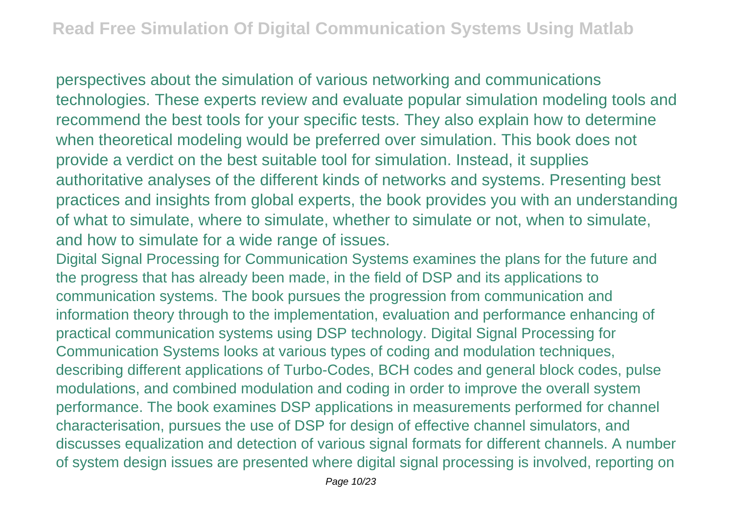perspectives about the simulation of various networking and communications technologies. These experts review and evaluate popular simulation modeling tools and recommend the best tools for your specific tests. They also explain how to determine when theoretical modeling would be preferred over simulation. This book does not provide a verdict on the best suitable tool for simulation. Instead, it supplies authoritative analyses of the different kinds of networks and systems. Presenting best practices and insights from global experts, the book provides you with an understanding of what to simulate, where to simulate, whether to simulate or not, when to simulate, and how to simulate for a wide range of issues.

Digital Signal Processing for Communication Systems examines the plans for the future and the progress that has already been made, in the field of DSP and its applications to communication systems. The book pursues the progression from communication and information theory through to the implementation, evaluation and performance enhancing of practical communication systems using DSP technology. Digital Signal Processing for Communication Systems looks at various types of coding and modulation techniques, describing different applications of Turbo-Codes, BCH codes and general block codes, pulse modulations, and combined modulation and coding in order to improve the overall system performance. The book examines DSP applications in measurements performed for channel characterisation, pursues the use of DSP for design of effective channel simulators, and discusses equalization and detection of various signal formats for different channels. A number of system design issues are presented where digital signal processing is involved, reporting on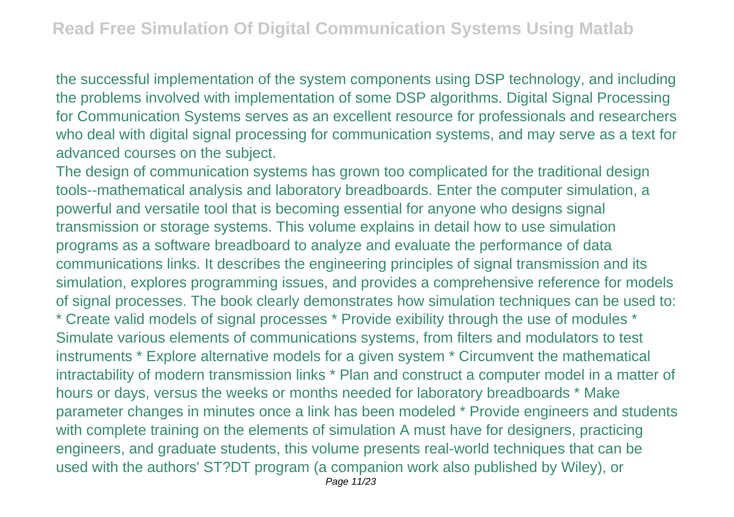the successful implementation of the system components using DSP technology, and including the problems involved with implementation of some DSP algorithms. Digital Signal Processing for Communication Systems serves as an excellent resource for professionals and researchers who deal with digital signal processing for communication systems, and may serve as a text for advanced courses on the subject.

The design of communication systems has grown too complicated for the traditional design tools--mathematical analysis and laboratory breadboards. Enter the computer simulation, a powerful and versatile tool that is becoming essential for anyone who designs signal transmission or storage systems. This volume explains in detail how to use simulation programs as a software breadboard to analyze and evaluate the performance of data communications links. It describes the engineering principles of signal transmission and its simulation, explores programming issues, and provides a comprehensive reference for models of signal processes. The book clearly demonstrates how simulation techniques can be used to: \* Create valid models of signal processes \* Provide exibility through the use of modules \* Simulate various elements of communications systems, from filters and modulators to test instruments \* Explore alternative models for a given system \* Circumvent the mathematical intractability of modern transmission links \* Plan and construct a computer model in a matter of hours or days, versus the weeks or months needed for laboratory breadboards \* Make parameter changes in minutes once a link has been modeled \* Provide engineers and students with complete training on the elements of simulation A must have for designers, practicing engineers, and graduate students, this volume presents real-world techniques that can be used with the authors' ST?DT program (a companion work also published by Wiley), or Page 11/23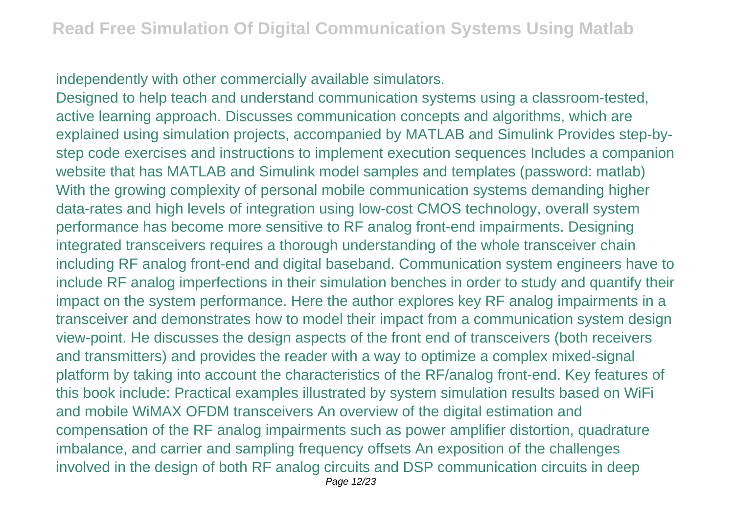independently with other commercially available simulators.

Designed to help teach and understand communication systems using a classroom-tested, active learning approach. Discusses communication concepts and algorithms, which are explained using simulation projects, accompanied by MATLAB and Simulink Provides step-bystep code exercises and instructions to implement execution sequences Includes a companion website that has MATLAB and Simulink model samples and templates (password: matlab) With the growing complexity of personal mobile communication systems demanding higher data-rates and high levels of integration using low-cost CMOS technology, overall system performance has become more sensitive to RF analog front-end impairments. Designing integrated transceivers requires a thorough understanding of the whole transceiver chain including RF analog front-end and digital baseband. Communication system engineers have to include RF analog imperfections in their simulation benches in order to study and quantify their impact on the system performance. Here the author explores key RF analog impairments in a transceiver and demonstrates how to model their impact from a communication system design view-point. He discusses the design aspects of the front end of transceivers (both receivers and transmitters) and provides the reader with a way to optimize a complex mixed-signal platform by taking into account the characteristics of the RF/analog front-end. Key features of this book include: Practical examples illustrated by system simulation results based on WiFi and mobile WiMAX OFDM transceivers An overview of the digital estimation and compensation of the RF analog impairments such as power amplifier distortion, quadrature imbalance, and carrier and sampling frequency offsets An exposition of the challenges involved in the design of both RF analog circuits and DSP communication circuits in deep Page 12/23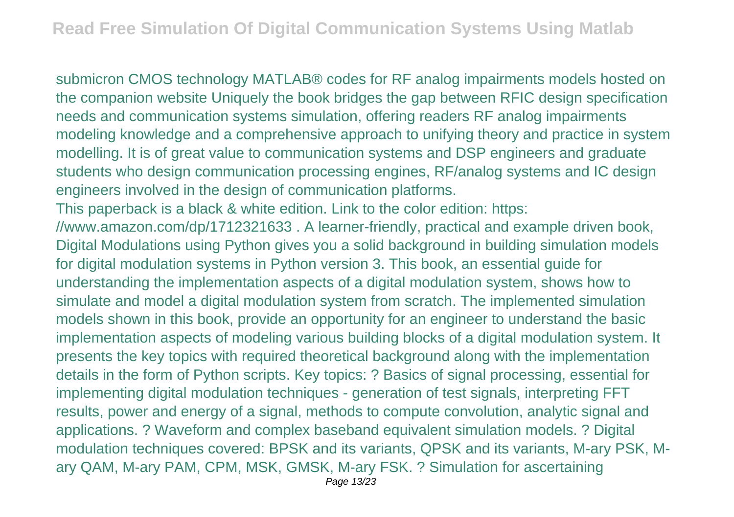submicron CMOS technology MATLAB® codes for RF analog impairments models hosted on the companion website Uniquely the book bridges the gap between RFIC design specification needs and communication systems simulation, offering readers RF analog impairments modeling knowledge and a comprehensive approach to unifying theory and practice in system modelling. It is of great value to communication systems and DSP engineers and graduate students who design communication processing engines, RF/analog systems and IC design engineers involved in the design of communication platforms.

This paperback is a black & white edition. Link to the color edition: https:

//www.amazon.com/dp/1712321633 . A learner-friendly, practical and example driven book, Digital Modulations using Python gives you a solid background in building simulation models for digital modulation systems in Python version 3. This book, an essential guide for understanding the implementation aspects of a digital modulation system, shows how to simulate and model a digital modulation system from scratch. The implemented simulation models shown in this book, provide an opportunity for an engineer to understand the basic implementation aspects of modeling various building blocks of a digital modulation system. It presents the key topics with required theoretical background along with the implementation details in the form of Python scripts. Key topics: ? Basics of signal processing, essential for implementing digital modulation techniques - generation of test signals, interpreting FFT results, power and energy of a signal, methods to compute convolution, analytic signal and applications. ? Waveform and complex baseband equivalent simulation models. ? Digital modulation techniques covered: BPSK and its variants, QPSK and its variants, M-ary PSK, Mary QAM, M-ary PAM, CPM, MSK, GMSK, M-ary FSK. ? Simulation for ascertaining Page 13/23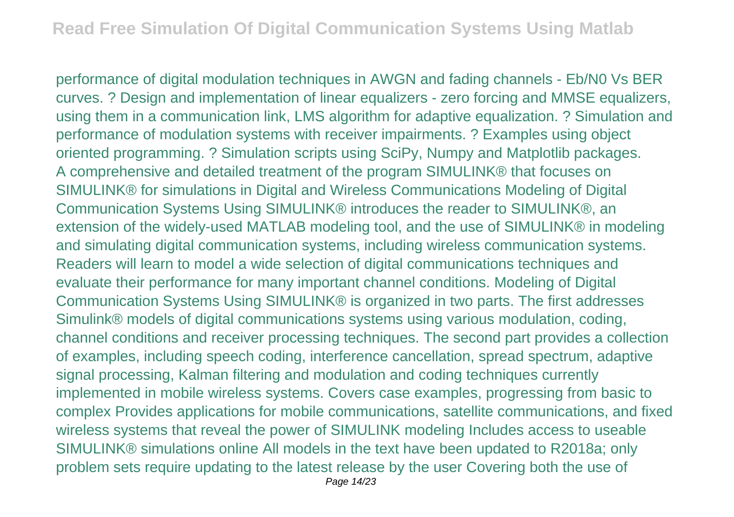performance of digital modulation techniques in AWGN and fading channels - Eb/N0 Vs BER curves. ? Design and implementation of linear equalizers - zero forcing and MMSE equalizers, using them in a communication link, LMS algorithm for adaptive equalization. ? Simulation and performance of modulation systems with receiver impairments. ? Examples using object oriented programming. ? Simulation scripts using SciPy, Numpy and Matplotlib packages. A comprehensive and detailed treatment of the program SIMULINK® that focuses on SIMULINK® for simulations in Digital and Wireless Communications Modeling of Digital Communication Systems Using SIMULINK® introduces the reader to SIMULINK®, an extension of the widely-used MATLAB modeling tool, and the use of SIMULINK® in modeling and simulating digital communication systems, including wireless communication systems. Readers will learn to model a wide selection of digital communications techniques and evaluate their performance for many important channel conditions. Modeling of Digital Communication Systems Using SIMULINK® is organized in two parts. The first addresses Simulink® models of digital communications systems using various modulation, coding, channel conditions and receiver processing techniques. The second part provides a collection of examples, including speech coding, interference cancellation, spread spectrum, adaptive signal processing, Kalman filtering and modulation and coding techniques currently implemented in mobile wireless systems. Covers case examples, progressing from basic to complex Provides applications for mobile communications, satellite communications, and fixed wireless systems that reveal the power of SIMULINK modeling Includes access to useable SIMULINK® simulations online All models in the text have been updated to R2018a; only problem sets require updating to the latest release by the user Covering both the use of Page 14/23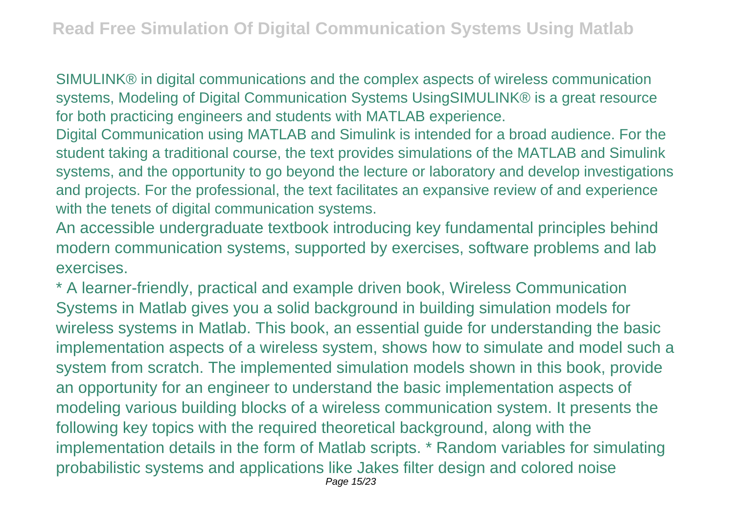SIMULINK® in digital communications and the complex aspects of wireless communication systems, Modeling of Digital Communication Systems UsingSIMULINK® is a great resource for both practicing engineers and students with MATLAB experience.

Digital Communication using MATLAB and Simulink is intended for a broad audience. For the student taking a traditional course, the text provides simulations of the MATLAB and Simulink systems, and the opportunity to go beyond the lecture or laboratory and develop investigations and projects. For the professional, the text facilitates an expansive review of and experience with the tenets of digital communication systems.

An accessible undergraduate textbook introducing key fundamental principles behind modern communication systems, supported by exercises, software problems and lab exercises.

\* A learner-friendly, practical and example driven book, Wireless Communication Systems in Matlab gives you a solid background in building simulation models for wireless systems in Matlab. This book, an essential guide for understanding the basic implementation aspects of a wireless system, shows how to simulate and model such a system from scratch. The implemented simulation models shown in this book, provide an opportunity for an engineer to understand the basic implementation aspects of modeling various building blocks of a wireless communication system. It presents the following key topics with the required theoretical background, along with the implementation details in the form of Matlab scripts. \* Random variables for simulating probabilistic systems and applications like Jakes filter design and colored noise Page 15/23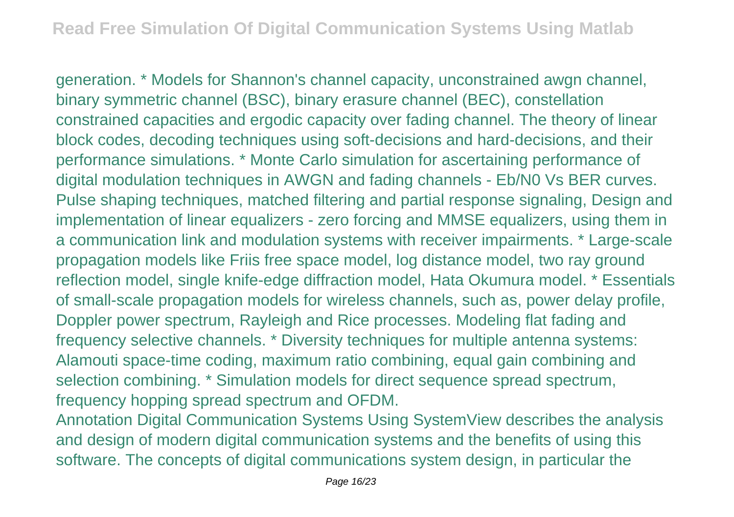generation. \* Models for Shannon's channel capacity, unconstrained awgn channel, binary symmetric channel (BSC), binary erasure channel (BEC), constellation constrained capacities and ergodic capacity over fading channel. The theory of linear block codes, decoding techniques using soft-decisions and hard-decisions, and their performance simulations. \* Monte Carlo simulation for ascertaining performance of digital modulation techniques in AWGN and fading channels - Eb/N0 Vs BER curves. Pulse shaping techniques, matched filtering and partial response signaling, Design and implementation of linear equalizers - zero forcing and MMSE equalizers, using them in a communication link and modulation systems with receiver impairments. \* Large-scale propagation models like Friis free space model, log distance model, two ray ground reflection model, single knife-edge diffraction model, Hata Okumura model. \* Essentials of small-scale propagation models for wireless channels, such as, power delay profile, Doppler power spectrum, Rayleigh and Rice processes. Modeling flat fading and frequency selective channels. \* Diversity techniques for multiple antenna systems: Alamouti space-time coding, maximum ratio combining, equal gain combining and selection combining. \* Simulation models for direct sequence spread spectrum, frequency hopping spread spectrum and OFDM.

Annotation Digital Communication Systems Using SystemView describes the analysis and design of modern digital communication systems and the benefits of using this software. The concepts of digital communications system design, in particular the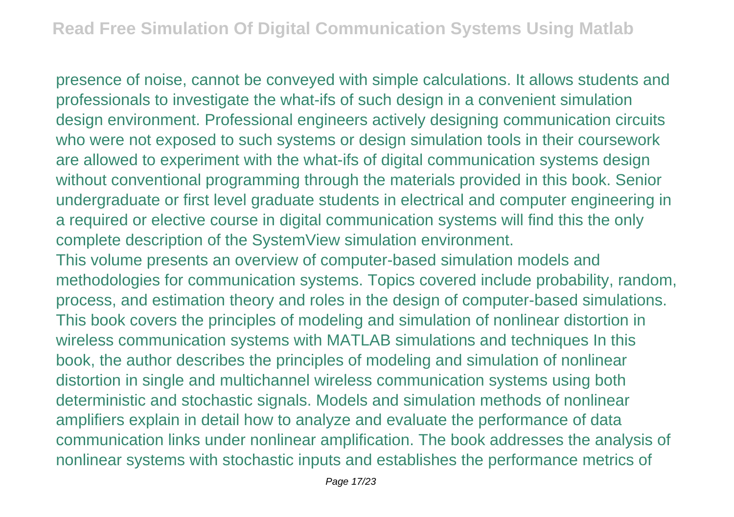presence of noise, cannot be conveyed with simple calculations. It allows students and professionals to investigate the what-ifs of such design in a convenient simulation design environment. Professional engineers actively designing communication circuits who were not exposed to such systems or design simulation tools in their coursework are allowed to experiment with the what-ifs of digital communication systems design without conventional programming through the materials provided in this book. Senior undergraduate or first level graduate students in electrical and computer engineering in a required or elective course in digital communication systems will find this the only complete description of the SystemView simulation environment.

This volume presents an overview of computer-based simulation models and methodologies for communication systems. Topics covered include probability, random, process, and estimation theory and roles in the design of computer-based simulations. This book covers the principles of modeling and simulation of nonlinear distortion in wireless communication systems with MATLAB simulations and techniques In this book, the author describes the principles of modeling and simulation of nonlinear distortion in single and multichannel wireless communication systems using both deterministic and stochastic signals. Models and simulation methods of nonlinear amplifiers explain in detail how to analyze and evaluate the performance of data communication links under nonlinear amplification. The book addresses the analysis of nonlinear systems with stochastic inputs and establishes the performance metrics of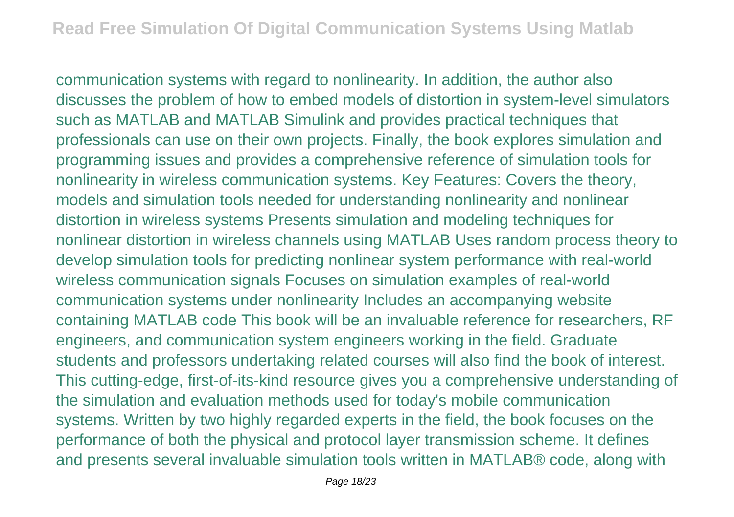communication systems with regard to nonlinearity. In addition, the author also discusses the problem of how to embed models of distortion in system-level simulators such as MATLAB and MATLAB Simulink and provides practical techniques that professionals can use on their own projects. Finally, the book explores simulation and programming issues and provides a comprehensive reference of simulation tools for nonlinearity in wireless communication systems. Key Features: Covers the theory, models and simulation tools needed for understanding nonlinearity and nonlinear distortion in wireless systems Presents simulation and modeling techniques for nonlinear distortion in wireless channels using MATLAB Uses random process theory to develop simulation tools for predicting nonlinear system performance with real-world wireless communication signals Focuses on simulation examples of real-world communication systems under nonlinearity Includes an accompanying website containing MATLAB code This book will be an invaluable reference for researchers, RF engineers, and communication system engineers working in the field. Graduate students and professors undertaking related courses will also find the book of interest. This cutting-edge, first-of-its-kind resource gives you a comprehensive understanding of the simulation and evaluation methods used for today's mobile communication systems. Written by two highly regarded experts in the field, the book focuses on the performance of both the physical and protocol layer transmission scheme. It defines and presents several invaluable simulation tools written in MATLAB® code, along with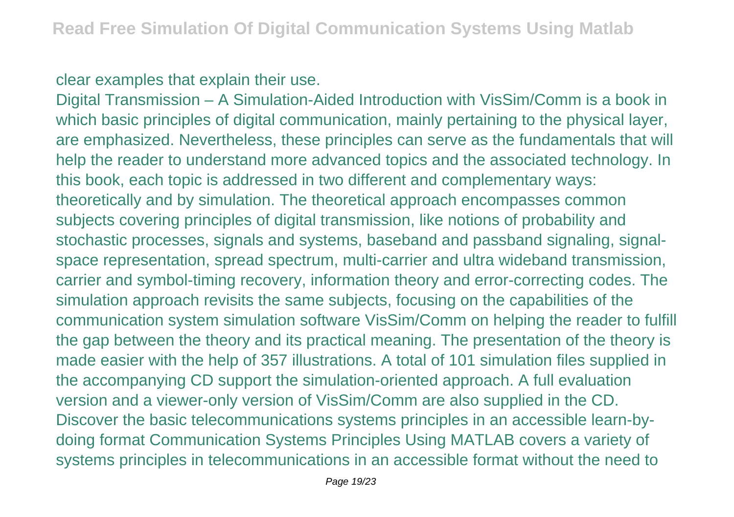## clear examples that explain their use.

Digital Transmission – A Simulation-Aided Introduction with VisSim/Comm is a book in which basic principles of digital communication, mainly pertaining to the physical layer, are emphasized. Nevertheless, these principles can serve as the fundamentals that will help the reader to understand more advanced topics and the associated technology. In this book, each topic is addressed in two different and complementary ways: theoretically and by simulation. The theoretical approach encompasses common subjects covering principles of digital transmission, like notions of probability and stochastic processes, signals and systems, baseband and passband signaling, signalspace representation, spread spectrum, multi-carrier and ultra wideband transmission, carrier and symbol-timing recovery, information theory and error-correcting codes. The simulation approach revisits the same subjects, focusing on the capabilities of the communication system simulation software VisSim/Comm on helping the reader to fulfill the gap between the theory and its practical meaning. The presentation of the theory is made easier with the help of 357 illustrations. A total of 101 simulation files supplied in the accompanying CD support the simulation-oriented approach. A full evaluation version and a viewer-only version of VisSim/Comm are also supplied in the CD. Discover the basic telecommunications systems principles in an accessible learn-bydoing format Communication Systems Principles Using MATLAB covers a variety of systems principles in telecommunications in an accessible format without the need to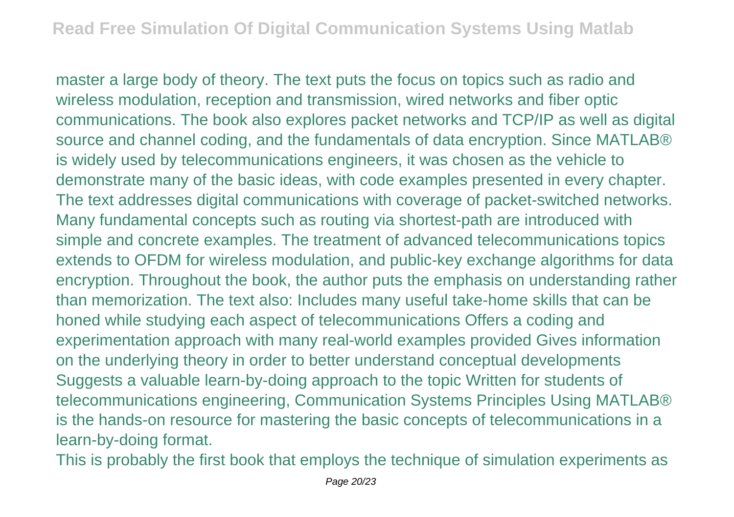master a large body of theory. The text puts the focus on topics such as radio and wireless modulation, reception and transmission, wired networks and fiber optic communications. The book also explores packet networks and TCP/IP as well as digital source and channel coding, and the fundamentals of data encryption. Since MATLAB® is widely used by telecommunications engineers, it was chosen as the vehicle to demonstrate many of the basic ideas, with code examples presented in every chapter. The text addresses digital communications with coverage of packet-switched networks. Many fundamental concepts such as routing via shortest-path are introduced with simple and concrete examples. The treatment of advanced telecommunications topics extends to OFDM for wireless modulation, and public-key exchange algorithms for data encryption. Throughout the book, the author puts the emphasis on understanding rather than memorization. The text also: Includes many useful take-home skills that can be honed while studying each aspect of telecommunications Offers a coding and experimentation approach with many real-world examples provided Gives information on the underlying theory in order to better understand conceptual developments Suggests a valuable learn-by-doing approach to the topic Written for students of telecommunications engineering, Communication Systems Principles Using MATLAB® is the hands-on resource for mastering the basic concepts of telecommunications in a learn-by-doing format.

This is probably the first book that employs the technique of simulation experiments as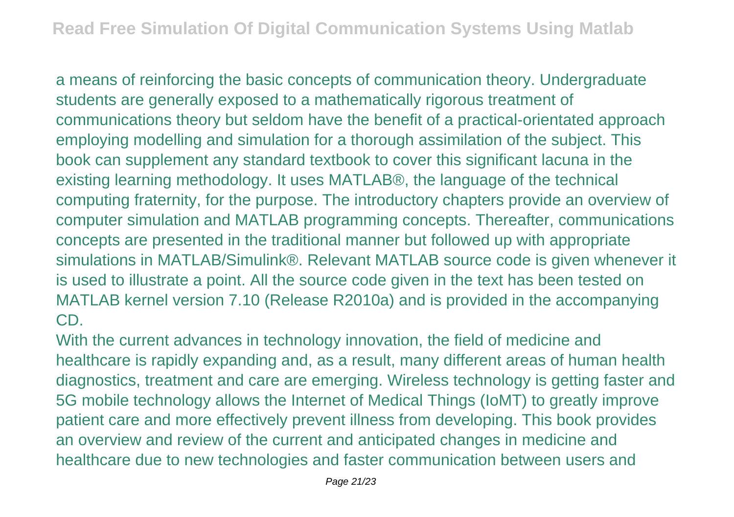a means of reinforcing the basic concepts of communication theory. Undergraduate students are generally exposed to a mathematically rigorous treatment of communications theory but seldom have the benefit of a practical-orientated approach employing modelling and simulation for a thorough assimilation of the subject. This book can supplement any standard textbook to cover this significant lacuna in the existing learning methodology. It uses MATLAB®, the language of the technical computing fraternity, for the purpose. The introductory chapters provide an overview of computer simulation and MATLAB programming concepts. Thereafter, communications concepts are presented in the traditional manner but followed up with appropriate simulations in MATLAB/Simulink®. Relevant MATLAB source code is given whenever it is used to illustrate a point. All the source code given in the text has been tested on MATLAB kernel version 7.10 (Release R2010a) and is provided in the accompanying CD.

With the current advances in technology innovation, the field of medicine and healthcare is rapidly expanding and, as a result, many different areas of human health diagnostics, treatment and care are emerging. Wireless technology is getting faster and 5G mobile technology allows the Internet of Medical Things (IoMT) to greatly improve patient care and more effectively prevent illness from developing. This book provides an overview and review of the current and anticipated changes in medicine and healthcare due to new technologies and faster communication between users and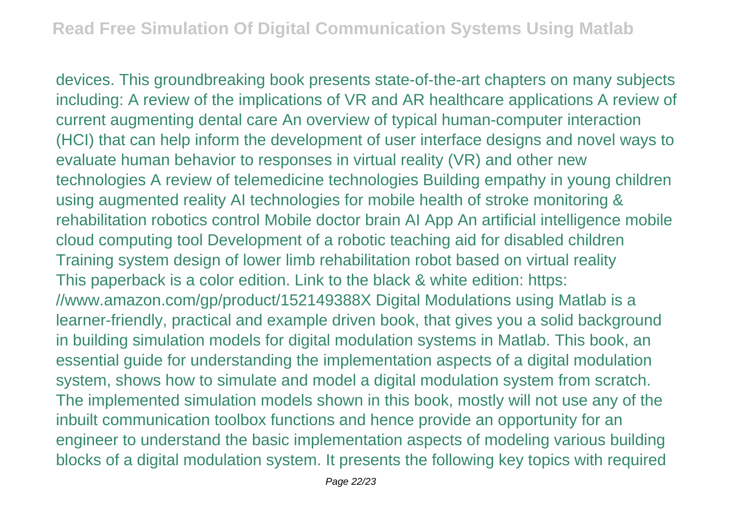devices. This groundbreaking book presents state-of-the-art chapters on many subjects including: A review of the implications of VR and AR healthcare applications A review of current augmenting dental care An overview of typical human-computer interaction (HCI) that can help inform the development of user interface designs and novel ways to evaluate human behavior to responses in virtual reality (VR) and other new technologies A review of telemedicine technologies Building empathy in young children using augmented reality AI technologies for mobile health of stroke monitoring & rehabilitation robotics control Mobile doctor brain AI App An artificial intelligence mobile cloud computing tool Development of a robotic teaching aid for disabled children Training system design of lower limb rehabilitation robot based on virtual reality This paperback is a color edition. Link to the black & white edition: https: //www.amazon.com/gp/product/152149388X Digital Modulations using Matlab is a learner-friendly, practical and example driven book, that gives you a solid background in building simulation models for digital modulation systems in Matlab. This book, an essential guide for understanding the implementation aspects of a digital modulation system, shows how to simulate and model a digital modulation system from scratch. The implemented simulation models shown in this book, mostly will not use any of the inbuilt communication toolbox functions and hence provide an opportunity for an engineer to understand the basic implementation aspects of modeling various building blocks of a digital modulation system. It presents the following key topics with required